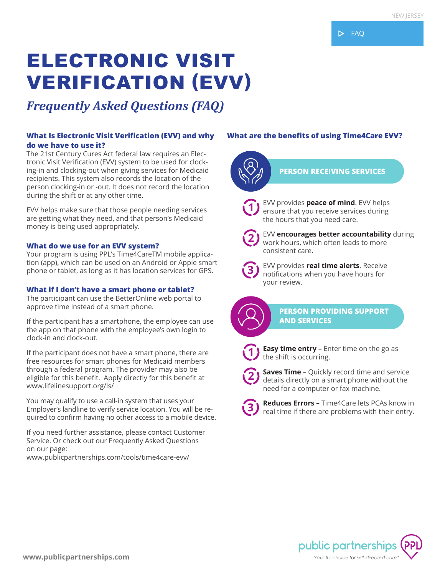# ELECTRONIC VISIT VERIFICATION (EVV)

## *Frequently Asked Questions (FAQ)*

#### **What Is Electronic Visit Verification (EVV) and why do we have to use it?**

The 21st Century Cures Act federal law requires an Electronic Visit Verification (EVV) system to be used for clocking-in and clocking-out when giving services for Medicaid recipients. This system also records the location of the person clocking-in or -out. It does not record the location during the shift or at any other time.

EVV helps make sure that those people needing services are getting what they need, and that person's Medicaid money is being used appropriately.

#### **What do we use for an EVV system?**

Your program is using PPL's Time4CareTM mobile application (app), which can be used on an Android or Apple smart phone or tablet, as long as it has location services for GPS.

#### **What if I don't have a smart phone or tablet?**

The participant can use the BetterOnline web portal to approve time instead of a smart phone.

If the participant has a smartphone, the employee can use the app on that phone with the employee's own login to clock-in and clock-out.

If the participant does not have a smart phone, there are free resources for smart phones for Medicaid members through a federal program. The provider may also be eligible for this benefit. Apply directly for this benefit at www.lifelinesupport.org/ls/

You may qualify to use a call-in system that uses your Employer's landline to verify service location. You will be required to confirm having no other access to a mobile device.

If you need further assistance, please contact Customer Service. Or check out our Frequently Asked Questions on our page:

www.publicpartnerships.com/tools/time4care-evv/

### **What are the benefits of using Time4Care EVV?**



ensure that you receive services during the hours that you need care.



EVV **encourages better accountability** during work hours, which often leads to more consistent care.



EVV provides **real time alerts**. Receive notifications when you have hours for your review.



**PERSON PROVIDING SUPPORT AND SERVICES**



**2**

**Easy time entry –** Enter time on the go as the shift is occurring.

**Saves Time** – Quickly record time and service details directly on a smart phone without the need for a computer or fax machine.



**Reduces Errors –** Time4Care lets PCAs know in real time if there are problems with their entry.